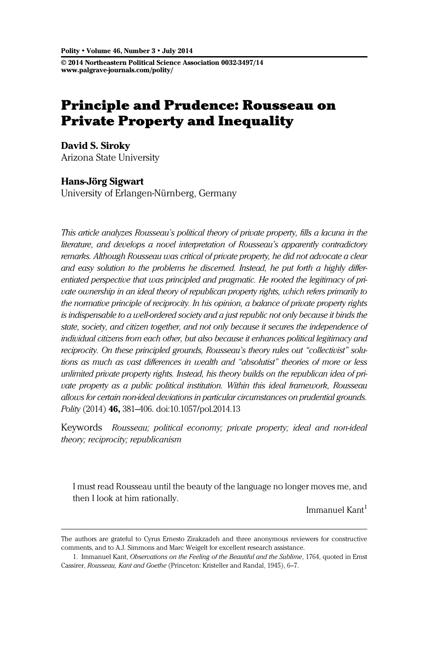© 2014 Northeastern Political Science Association 0032-3497/14 www.palgrave-journals.com/polity/

# Principle and Prudence: Rousseau on Private Property and Inequality

David S. Siroky Arizona State University

Hans-Jörg Sigwart

University of Erlangen-Nürnberg, Germany

This article analyzes Rousseau's political theory of private property, fills a lacuna in the literature, and develops a novel interpretation of Rousseau's apparently contradictory remarks. Although Rousseau was critical of private property, he did not advocate a clear and easy solution to the problems he discerned. Instead, he put forth a highly differentiated perspective that was principled and pragmatic. He rooted the legitimacy of private ownership in an ideal theory of republican property rights, which refers primarily to the normative principle of reciprocity. In his opinion, a balance of private property rights is indispensable to a well-ordered society and a just republic not only because it binds the state, society, and citizen together, and not only because it secures the independence of individual citizens from each other, but also because it enhances political legitimacy and reciprocity. On these principled grounds, Rousseau's theory rules out "collectivist" solutions as much as vast differences in wealth and "absolutist" theories of more or less unlimited private property rights. Instead, his theory builds on the republican idea of private property as a public political institution. Within this ideal framework, Rousseau allows for certain non-ideal deviations in particular circumstances on prudential grounds. Polity (2014) 46, 381–406. doi[:10.1057/pol.2014.13](http://dx.doi.org/10.1057/pol.2014.13)

Keywords Rousseau; political economy; private property; ideal and non-ideal theory; reciprocity; republicanism

I must read Rousseau until the beauty of the language no longer moves me, and then I look at him rationally.

Immanuel Kant<sup>1</sup>

The authors are grateful to Cyrus Ernesto Zirakzadeh and three anonymous reviewers for constructive comments, and to A.J. Simmons and Marc Weigelt for excellent research assistance.

<sup>1.</sup> Immanuel Kant, Observations on the Feeling of the Beautiful and the Sublime, 1764, quoted in Ernst Cassirer, Rousseau, Kant and Goethe (Princeton: Kristeller and Randal, 1945), 6–7.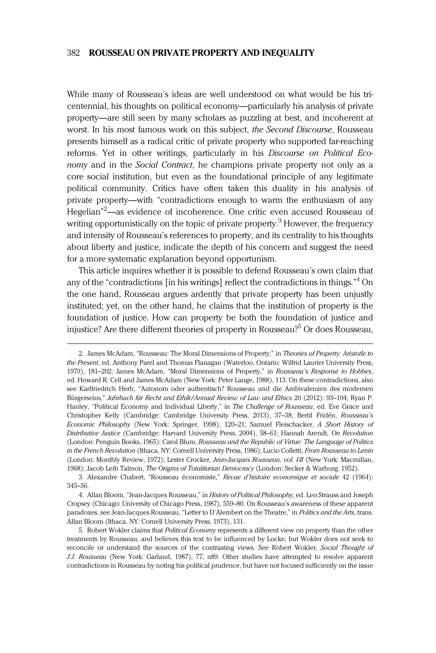While many of Rousseau's ideas are well understood on what would be his tricentennial, his thoughts on political economy—particularly his analysis of private property—are still seen by many scholars as puzzling at best, and incoherent at worst. In his most famous work on this subject, *the Second Discourse*, Rousseau presents himself as a radical critic of private property who supported far-reaching reforms. Yet in other writings, particularly in his Discourse on Political Economy and in the Social Contract, he champions private property not only as a core social institution, but even as the foundational principle of any legitimate political community. Critics have often taken this duality in his analysis of private property—with "contradictions enough to warm the enthusiasm of any Hegelian"<sup>2</sup>—as evidence of incoherence. One critic even accused Rousseau of writing opportunistically on the topic of private property.<sup>3</sup> However, the frequency and intensity of Rousseau's references to property, and its centrality to his thoughts about liberty and justice, indicate the depth of his concern and suggest the need for a more systematic explanation beyond opportunism.

This article inquires whether it is possible to defend Rousseau's own claim that any of the "contradictions [in his writings] reflect the contradictions in things."<sup>4</sup> On the one hand, Rousseau argues ardently that private property has been unjustly instituted; yet, on the other hand, he claims that the institution of property is the foundation of justice. How can property be both the foundation of justice and injustice? Are there different theories of property in Rousseau?<sup>5</sup> Or does Rousseau,

<sup>2.</sup> James McAdam, "Rousseau: The Moral Dimensions of Property," in Theories of Property: Aristotle to the Present, ed. Anthony Parel and Thomas Flanagan (Waterloo, Ontario: Wilfrid Laurier University Press, 1979), 181–202; James McAdam, "Moral Dimensions of Property," in Rousseau's Response to Hobbes, ed. Howard R. Cell and James McAdam (New York: Peter Lange, 1988), 113. On these contradictions, also see Karlfriedrich Herb, "Autonom oder authentisch? Rousseau und die Ambivalenzen des modernen Bürgerseins," Jahrbuch für Recht und Ethik/Annual Review of Law and Ethics 20 (2012): 93–104; Ryan P. Hanley, "Political Economy and Individual Liberty," in The Challenge of Rousseau, ed. Eve Grace and Christopher Kelly (Cambridge: Cambridge University Press, 2013), 37–38; Bertil Fridén, Rousseau's Economic Philosophy (New York: Springer, 1998), 120–21; Samuel Fleischacker, A Short History of Distributive Justice (Cambridge: Harvard University Press, 2004), 58–61; Hannah Arendt, On Revolution (London: Penguin Books, 1965); Carol Blum, Rousseau and the Republic of Virtue: The Language of Politics in the French Revolution (Ithaca, NY: Cornell University Press, 1986); Lucio Colletti, From Rousseau to Lenin (London: Monthly Review, 1972); Lester Crocker, Jean-Jacques Rousseau, vol. I-II (New York: Macmillan, 1968); Jacob Leib Talmon, The Origins of Totalitarian Democracy (London: Secker & Warburg, 1952).

<sup>3.</sup> Alexandre Chabert, "Rousseau économiste," Revue d'histoire economique et sociale 42 (1964): 345–56.

<sup>4.</sup> Allan Bloom, "Jean-Jacques Rousseau," in History of Political Philosophy, ed. Leo Strauss and Joseph Cropsey (Chicago: University of Chicago Press, 1987), 559–80. On Rousseau's awareness of these apparent paradoxes, see Jean-Jacques Rousseau, "Letter to D'Alembert on the Theatre," in Politics and the Arts, trans. Allan Bloom (Ithaca, NY: Cornell University Press, 1973), 131.

<sup>5.</sup> Robert Wokler claims that Political Economy represents a different view on property than the other treatments by Rousseau, and believes this text to be influenced by Locke, but Wokler does not seek to reconcile or understand the sources of the contrasting views. See Robert Wokler, Social Thought of J.J. Rousseau (New York: Garland, 1987), 77, n89. Other studies have attempted to resolve apparent contradictions in Rousseau by noting his political prudence, but have not focused sufficiently on the issue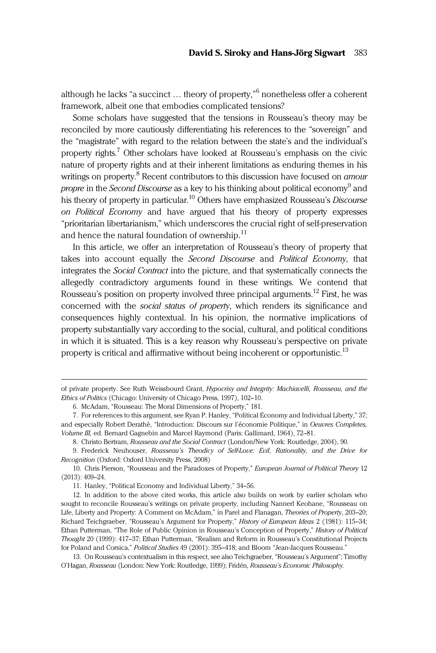although he lacks "a succinct ... theory of property," <sup>6</sup> nonetheless offer a coherent framework, albeit one that embodies complicated tensions?

Some scholars have suggested that the tensions in Rousseau's theory may be reconciled by more cautiously differentiating his references to the "sovereign" and the "magistrate" with regard to the relation between the state's and the individual's property rights.<sup>7</sup> Other scholars have looked at Rousseau's emphasis on the civic nature of property rights and at their inherent limitations as enduring themes in his writings on property.<sup>8</sup> Recent contributors to this discussion have focused on *amour propre* in the *Second Discourse* as a key to his thinking about political economy<sup>9</sup> and his theory of property in particular.<sup>10</sup> Others have emphasized Rousseau's *Discourse* on Political Economy and have argued that his theory of property expresses "prioritarian libertarianism," which underscores the crucial right of self-preservation and hence the natural foundation of ownership. $<sup>11</sup>$ </sup>

In this article, we offer an interpretation of Rousseau's theory of property that takes into account equally the Second Discourse and Political Economy, that integrates the Social Contract into the picture, and that systematically connects the allegedly contradictory arguments found in these writings. We contend that Rousseau's position on property involved three principal arguments.<sup>12</sup> First, he was concerned with the social status of property, which renders its significance and consequences highly contextual. In his opinion, the normative implications of property substantially vary according to the social, cultural, and political conditions in which it is situated. This is a key reason why Rousseau's perspective on private property is critical and affirmative without being incoherent or opportunistic.<sup>13</sup>

of private property. See Ruth Weissbourd Grant, Hypocrisy and Integrity: Machiavelli, Rousseau, and the Ethics of Politics (Chicago: University of Chicago Press, 1997), 102–10.

<sup>6.</sup> McAdam, "Rousseau: The Moral Dimensions of Property," 181.

<sup>7.</sup> For references to this argument, see Ryan P. Hanley, "Political Economy and Individual Liberty," 37; and especially Robert Derathè, "Introduction: Discours sur l'économie Politique," in Oeuvres Completes, Volume III, ed. Bernard Gagnebin and Marcel Raymond (Paris: Gallimard, 1964), 72–81.

<sup>8.</sup> Christo Bertram, Rousseau and the Social Contract (London/New York: Routledge, 2004), 90.

<sup>9.</sup> Frederick Neuhouser, Rousseau's Theodicy of Self-Love: Evil, Rationality, and the Drive for Recognition (Oxford: Oxford University Press, 2008)

<sup>10.</sup> Chris Pierson, "Rousseau and the Paradoxes of Property," European Journal of Political Theory 12 (2013): 409–24.

<sup>11.</sup> Hanley, "Political Economy and Individual Liberty," 34–56.

<sup>12.</sup> In addition to the above cited works, this article also builds on work by earlier scholars who sought to reconcile Rousseau's writings on private property, including Nannerl Keohane, "Rousseau on Life, Liberty and Property: A Comment on McAdam," in Parel and Flanagan, Theories of Property, 203-20; Richard Teichgraeber, "Rousseau's Argument for Property," History of European Ideas 2 (1981): 115-34; Ethan Putterman, "The Role of Public Opinion in Rousseau's Conception of Property," History of Political Thought 20 (1999): 417–37; Ethan Putterman, "Realism and Reform in Rousseau's Constitutional Projects for Poland and Corsica," Political Studies 49 (2001): 395–418; and Bloom "Jean-Jacques Rousseau."

<sup>13.</sup> On Rousseau's contextualism in this respect, see also Teichgraeber, "Rousseau's Argument"; Timothy O'Hagan, Rousseau (London: New York: Routledge, 1999); Fridén, Rousseau's Economic Philosophy.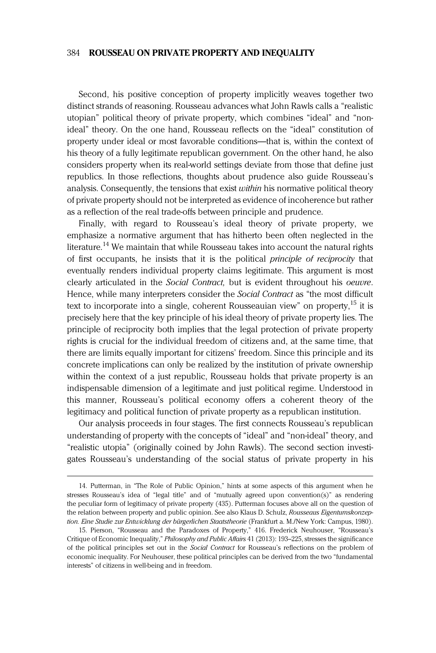Second, his positive conception of property implicitly weaves together two distinct strands of reasoning. Rousseau advances what John Rawls calls a "realistic utopian" political theory of private property, which combines "ideal" and "nonideal" theory. On the one hand, Rousseau reflects on the "ideal" constitution of property under ideal or most favorable conditions—that is, within the context of his theory of a fully legitimate republican government. On the other hand, he also considers property when its real-world settings deviate from those that define just republics. In those reflections, thoughts about prudence also guide Rousseau's analysis. Consequently, the tensions that exist *within* his normative political theory of private property should not be interpreted as evidence of incoherence but rather as a reflection of the real trade-offs between principle and prudence.

Finally, with regard to Rousseau's ideal theory of private property, we emphasize a normative argument that has hitherto been often neglected in the literature.<sup>14</sup> We maintain that while Rousseau takes into account the natural rights of first occupants, he insists that it is the political principle of reciprocity that eventually renders individual property claims legitimate. This argument is most clearly articulated in the Social Contract, but is evident throughout his oeuvre. Hence, while many interpreters consider the Social Contract as "the most difficult text to incorporate into a single, coherent Rousseauian view" on property, $15$  it is precisely here that the key principle of his ideal theory of private property lies. The principle of reciprocity both implies that the legal protection of private property rights is crucial for the individual freedom of citizens and, at the same time, that there are limits equally important for citizens' freedom. Since this principle and its concrete implications can only be realized by the institution of private ownership within the context of a just republic, Rousseau holds that private property is an indispensable dimension of a legitimate and just political regime. Understood in this manner, Rousseau's political economy offers a coherent theory of the legitimacy and political function of private property as a republican institution.

Our analysis proceeds in four stages. The first connects Rousseau's republican understanding of property with the concepts of "ideal" and "non-ideal" theory, and "realistic utopia" (originally coined by John Rawls). The second section investigates Rousseau's understanding of the social status of private property in his

<sup>14.</sup> Putterman, in "The Role of Public Opinion," hints at some aspects of this argument when he stresses Rousseau's idea of "legal title" and of "mutually agreed upon convention(s)" as rendering the peculiar form of legitimacy of private property (435). Putterman focuses above all on the question of the relation between property and public opinion. See also Klaus D. Schulz, Rousseaus Eigentumskonzeption. Eine Studie zur Entwicklung der bürgerlichen Staatstheorie (Frankfurt a. M./New York: Campus, 1980).

<sup>15.</sup> Pierson, "Rousseau and the Paradoxes of Property," 416. Frederick Neuhouser, "Rousseau's Critique of Economic Inequality," Philosophy and Public Affairs 41 (2013): 193–225, stresses the significance of the political principles set out in the Social Contract for Rousseau's reflections on the problem of economic inequality. For Neuhouser, these political principles can be derived from the two "fundamental interests" of citizens in well-being and in freedom.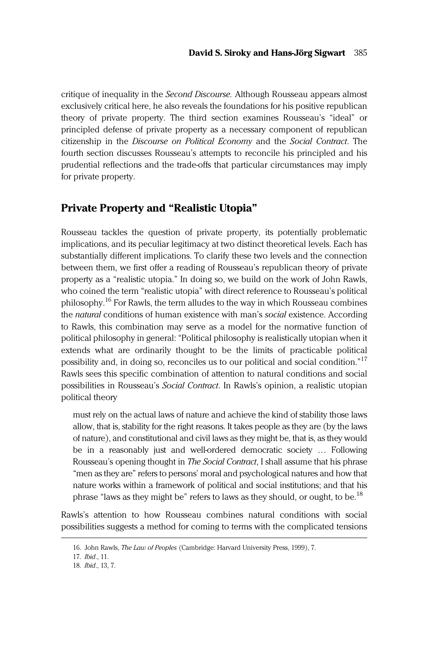critique of inequality in the Second Discourse. Although Rousseau appears almost exclusively critical here, he also reveals the foundations for his positive republican theory of private property. The third section examines Rousseau's "ideal" or principled defense of private property as a necessary component of republican citizenship in the Discourse on Political Economy and the Social Contract. The fourth section discusses Rousseau's attempts to reconcile his principled and his prudential reflections and the trade-offs that particular circumstances may imply for private property.

# Private Property and "Realistic Utopia"

Rousseau tackles the question of private property, its potentially problematic implications, and its peculiar legitimacy at two distinct theoretical levels. Each has substantially different implications. To clarify these two levels and the connection between them, we first offer a reading of Rousseau's republican theory of private property as a "realistic utopia." In doing so, we build on the work of John Rawls, who coined the term "realistic utopia" with direct reference to Rousseau's political philosophy.<sup>16</sup> For Rawls, the term alludes to the way in which Rousseau combines the *natural* conditions of human existence with man's social existence. According to Rawls, this combination may serve as a model for the normative function of political philosophy in general: "Political philosophy is realistically utopian when it extends what are ordinarily thought to be the limits of practicable political possibility and, in doing so, reconciles us to our political and social condition."<sup>17</sup> Rawls sees this specific combination of attention to natural conditions and social possibilities in Rousseau's Social Contract. In Rawls's opinion, a realistic utopian political theory

must rely on the actual laws of nature and achieve the kind of stability those laws allow, that is, stability for the right reasons. It takes people as they are (by the laws of nature), and constitutional and civil laws as they might be, that is, as they would be in a reasonably just and well-ordered democratic society … Following Rousseau's opening thought in The Social Contract, I shall assume that his phrase "men as they are" refers to persons' moral and psychological natures and how that nature works within a framework of political and social institutions; and that his phrase "laws as they might be" refers to laws as they should, or ought, to be.<sup>18</sup>

Rawls's attention to how Rousseau combines natural conditions with social possibilities suggests a method for coming to terms with the complicated tensions

<sup>16.</sup> John Rawls, The Law of Peoples (Cambridge: Harvard University Press, 1999), 7.

<sup>17.</sup> Ibid., 11.

<sup>18.</sup> Ibid., 13, 7.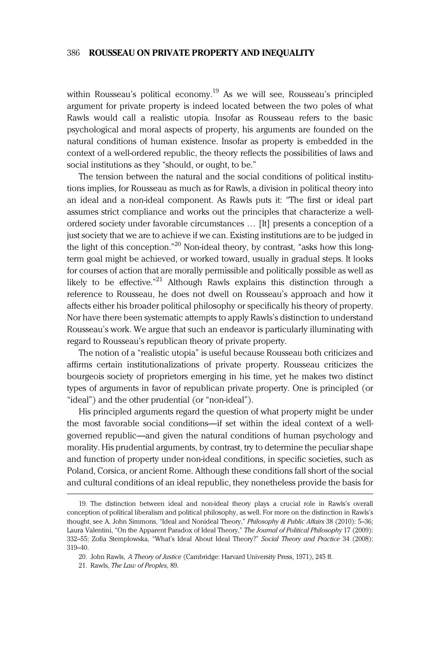within Rousseau's political economy.<sup>19</sup> As we will see, Rousseau's principled argument for private property is indeed located between the two poles of what Rawls would call a realistic utopia. Insofar as Rousseau refers to the basic psychological and moral aspects of property, his arguments are founded on the natural conditions of human existence. Insofar as property is embedded in the context of a well-ordered republic, the theory reflects the possibilities of laws and social institutions as they "should, or ought, to be."

The tension between the natural and the social conditions of political institutions implies, for Rousseau as much as for Rawls, a division in political theory into an ideal and a non-ideal component. As Rawls puts it: "The first or ideal part assumes strict compliance and works out the principles that characterize a wellordered society under favorable circumstances … [It] presents a conception of a just society that we are to achieve if we can. Existing institutions are to be judged in the light of this conception."<sup>20</sup> Non-ideal theory, by contrast, "asks how this longterm goal might be achieved, or worked toward, usually in gradual steps. It looks for courses of action that are morally permissible and politically possible as well as likely to be effective."<sup>21</sup> Although Rawls explains this distinction through a reference to Rousseau, he does not dwell on Rousseau's approach and how it affects either his broader political philosophy or specifically his theory of property. Nor have there been systematic attempts to apply Rawls's distinction to understand Rousseau's work. We argue that such an endeavor is particularly illuminating with regard to Rousseau's republican theory of private property.

The notion of a "realistic utopia" is useful because Rousseau both criticizes and affirms certain institutionalizations of private property. Rousseau criticizes the bourgeois society of proprietors emerging in his time, yet he makes two distinct types of arguments in favor of republican private property. One is principled (or "ideal") and the other prudential (or "non-ideal").

His principled arguments regard the question of what property might be under the most favorable social conditions—if set within the ideal context of a wellgoverned republic—and given the natural conditions of human psychology and morality. His prudential arguments, by contrast, try to determine the peculiar shape and function of property under non-ideal conditions, in specific societies, such as Poland, Corsica, or ancient Rome. Although these conditions fall short of the social and cultural conditions of an ideal republic, they nonetheless provide the basis for

<sup>19.</sup> The distinction between ideal and non-ideal theory plays a crucial role in Rawls's overall conception of political liberalism and political philosophy, as well. For more on the distinction in Rawls's thought, see A. John Simmons, "Ideal and Nonideal Theory," Philosophy & Public Affairs 38 (2010): 5–36; Laura Valentini, "On the Apparent Paradox of Ideal Theory," The Journal of Political Philosophy 17 (2009): 332–55; Zofia Stemplowska, "What's Ideal About Ideal Theory?" Social Theory and Practice 34 (2008): 319–40.

<sup>20.</sup> John Rawls, A Theory of Justice (Cambridge: Harvard University Press, 1971), 245 ff.

<sup>21.</sup> Rawls, The Law of Peoples, 89.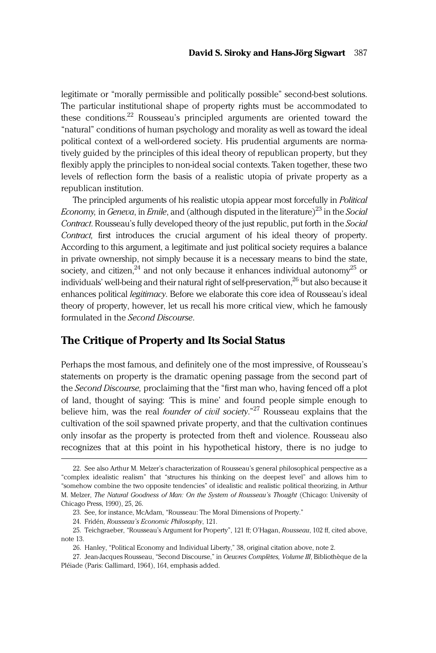legitimate or "morally permissible and politically possible" second-best solutions. The particular institutional shape of property rights must be accommodated to these conditions.<sup>22</sup> Rousseau's principled arguments are oriented toward the "natural" conditions of human psychology and morality as well as toward the ideal political context of a well-ordered society. His prudential arguments are normatively guided by the principles of this ideal theory of republican property, but they flexibly apply the principles to non-ideal social contexts. Taken together, these two levels of reflection form the basis of a realistic utopia of private property as a republican institution.

The principled arguments of his realistic utopia appear most forcefully in *Political Economy, in Geneva, in Emile, and (although disputed in the literature)*<sup>23</sup> in the *Social* Contract. Rousseau's fully developed theory of the just republic, put forth in the Social Contract, first introduces the crucial argument of his ideal theory of property. According to this argument, a legitimate and just political society requires a balance in private ownership, not simply because it is a necessary means to bind the state, society, and citizen,  $24$  and not only because it enhances individual autonomy  $25$  or individuals' well-being and their natural right of self-preservation. $^{26}$  but also because it enhances political legitimacy. Before we elaborate this core idea of Rousseau's ideal theory of property, however, let us recall his more critical view, which he famously formulated in the Second Discourse.

## The Critique of Property and Its Social Status

Perhaps the most famous, and definitely one of the most impressive, of Rousseau's statements on property is the dramatic opening passage from the second part of the *Second Discourse*, proclaiming that the "first man who, having fenced off a plot of land, thought of saying: 'This is mine' and found people simple enough to believe him, was the real *founder of civil society*."<sup>27</sup> Rousseau explains that the cultivation of the soil spawned private property, and that the cultivation continues only insofar as the property is protected from theft and violence. Rousseau also recognizes that at this point in his hypothetical history, there is no judge to

<sup>22.</sup> See also Arthur M. Melzer's characterization of Rousseau's general philosophical perspective as a "complex idealistic realism" that "structures his thinking on the deepest level" and allows him to "somehow combine the two opposite tendencies" of idealistic and realistic political theorizing, in Arthur M. Melzer, The Natural Goodness of Man: On the System of Rousseau's Thought (Chicago: University of Chicago Press, 1990), 25, 26.

<sup>23.</sup> See, for instance, McAdam, "Rousseau: The Moral Dimensions of Property."

<sup>24.</sup> Fridén, Rousseau's Economic Philosophy, 121.

<sup>25.</sup> Teichgraeber, "Rousseau's Argument for Property", 121 ff; O'Hagan, Rousseau, 102 ff, cited above, note 13.

<sup>26.</sup> Hanley, "Political Economy and Individual Liberty," 38, original citation above, note 2.

<sup>27.</sup> Jean-Jacques Rousseau, "Second Discourse," in Oeuvres Complètes, Volume III, Bibliothèque de la Pléiade (Paris: Gallimard, 1964), 164, emphasis added.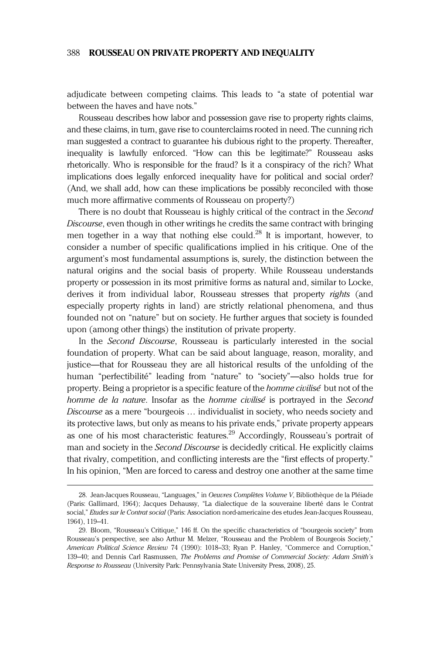adjudicate between competing claims. This leads to "a state of potential war between the haves and have nots."

Rousseau describes how labor and possession gave rise to property rights claims, and these claims, in turn, gave rise to counterclaims rooted in need. The cunning rich man suggested a contract to guarantee his dubious right to the property. Thereafter, inequality is lawfully enforced. "How can this be legitimate?" Rousseau asks rhetorically. Who is responsible for the fraud? Is it a conspiracy of the rich? What implications does legally enforced inequality have for political and social order? (And, we shall add, how can these implications be possibly reconciled with those much more affirmative comments of Rousseau on property?)

There is no doubt that Rousseau is highly critical of the contract in the Second Discourse, even though in other writings he credits the same contract with bringing men together in a way that nothing else could.<sup>28</sup> It is important, however, to consider a number of specific qualifications implied in his critique. One of the argument's most fundamental assumptions is, surely, the distinction between the natural origins and the social basis of property. While Rousseau understands property or possession in its most primitive forms as natural and, similar to Locke, derives it from individual labor, Rousseau stresses that property rights (and especially property rights in land) are strictly relational phenomena, and thus founded not on "nature" but on society. He further argues that society is founded upon (among other things) the institution of private property.

In the Second Discourse, Rousseau is particularly interested in the social foundation of property. What can be said about language, reason, morality, and justice—that for Rousseau they are all historical results of the unfolding of the human "perfectibilité" leading from "nature" to "society"—also holds true for property. Being a proprietor is a specific feature of the homme civilisé but not of the homme de la nature. Insofar as the homme civilisé is portrayed in the Second Discourse as a mere "bourgeois … individualist in society, who needs society and its protective laws, but only as means to his private ends," private property appears as one of his most characteristic features.<sup>29</sup> Accordingly, Rousseau's portrait of man and society in the *Second Discourse* is decidedly critical. He explicitly claims that rivalry, competition, and conflicting interests are the "first effects of property." In his opinion, "Men are forced to caress and destroy one another at the same time

<sup>28.</sup> Jean-Jacques Rousseau, "Languages," in Oeuvres Complètes Volume V, Bibliothèque de la Pléiade (Paris: Gallimard, 1964); Jacques Dehaussy, "La dialectique de la souveraine liberté dans le Contrat social," Etudes sur le Contrat social (Paris: Association nord-americaine des etudes Jean-Jacques Rousseau, 1964), 119–41.

<sup>29.</sup> Bloom, "Rousseau's Critique," 146 ff. On the specific characteristics of "bourgeois society" from Rousseau's perspective, see also Arthur M. Melzer, "Rousseau and the Problem of Bourgeois Society," American Political Science Review 74 (1990): 1018–33; Ryan P. Hanley, "Commerce and Corruption," 139–40; and Dennis Carl Rasmussen, The Problems and Promise of Commercial Society: Adam Smith's Response to Rousseau (University Park: Pennsylvania State University Press, 2008), 25.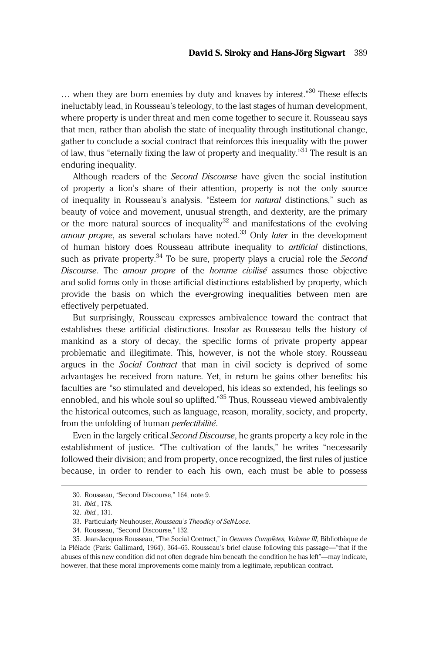... when they are born enemies by duty and knaves by interest."<sup>30</sup> These effects ineluctably lead, in Rousseau's teleology, to the last stages of human development, where property is under threat and men come together to secure it. Rousseau says that men, rather than abolish the state of inequality through institutional change, gather to conclude a social contract that reinforces this inequality with the power of law, thus "eternally fixing the law of property and inequality."<sup>31</sup> The result is an enduring inequality.

Although readers of the Second Discourse have given the social institution of property a lion's share of their attention, property is not the only source of inequality in Rousseau's analysis. "Esteem for *natural* distinctions," such as beauty of voice and movement, unusual strength, and dexterity, are the primary or the more natural sources of inequality<sup>32</sup> and manifestations of the evolving *amour propre*, as several scholars have noted.<sup>33</sup> Only *later* in the development of human history does Rousseau attribute inequality to *artificial* distinctions, such as private property.<sup>34</sup> To be sure, property plays a crucial role the *Second* Discourse. The amour propre of the homme civilisé assumes those objective and solid forms only in those artificial distinctions established by property, which provide the basis on which the ever-growing inequalities between men are effectively perpetuated.

But surprisingly, Rousseau expresses ambivalence toward the contract that establishes these artificial distinctions. Insofar as Rousseau tells the history of mankind as a story of decay, the specific forms of private property appear problematic and illegitimate. This, however, is not the whole story. Rousseau argues in the Social Contract that man in civil society is deprived of some advantages he received from nature. Yet, in return he gains other benefits: his faculties are "so stimulated and developed, his ideas so extended, his feelings so ennobled, and his whole soul so uplifted." <sup>35</sup> Thus, Rousseau viewed ambivalently the historical outcomes, such as language, reason, morality, society, and property, from the unfolding of human *perfectibilité*.

Even in the largely critical Second Discourse, he grants property a key role in the establishment of justice. "The cultivation of the lands," he writes "necessarily followed their division; and from property, once recognized, the first rules of justice because, in order to render to each his own, each must be able to possess

<sup>30.</sup> Rousseau, "Second Discourse," 164, note 9.

<sup>31.</sup> Ibid., 178.

<sup>32.</sup> Ibid., 131.

<sup>33.</sup> Particularly Neuhouser, Rousseau's Theodicy of Self-Love.

<sup>34.</sup> Rousseau, "Second Discourse," 132.

<sup>35.</sup> Jean-Jacques Rousseau, "The Social Contract," in Oeuvres Complètes, Volume III, Bibliothèque de la Pléiade (Paris: Gallimard, 1964), 364–65. Rousseau's brief clause following this passage—"that if the abuses of this new condition did not often degrade him beneath the condition he has left"—may indicate, however, that these moral improvements come mainly from a legitimate, republican contract.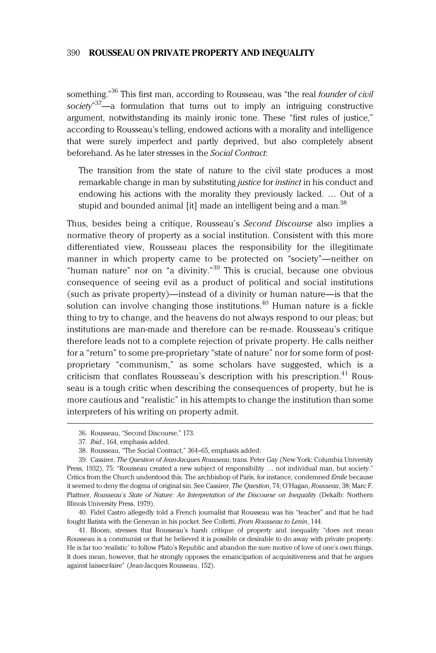something."<sup>36</sup> This first man, according to Rousseau, was "the real *founder of civil* society"<sup>37</sup>—a formulation that turns out to imply an intriguing constructive argument, notwithstanding its mainly ironic tone. These "first rules of justice," according to Rousseau's telling, endowed actions with a morality and intelligence that were surely imperfect and partly deprived, but also completely absent beforehand. As he later stresses in the Social Contract:

The transition from the state of nature to the civil state produces a most remarkable change in man by substituting *justice* for *instinct* in his conduct and endowing his actions with the morality they previously lacked. … Out of a stupid and bounded animal [it] made an intelligent being and a man.<sup>38</sup>

Thus, besides being a critique, Rousseau's Second Discourse also implies a normative theory of property as a social institution. Consistent with this more differentiated view, Rousseau places the responsibility for the illegitimate manner in which property came to be protected on "society"—neither on "human nature" nor on "a divinity." <sup>39</sup> This is crucial, because one obvious consequence of seeing evil as a product of political and social institutions (such as private property)—instead of a divinity or human nature—is that the solution can involve changing those institutions.<sup>40</sup> Human nature is a fickle thing to try to change, and the heavens do not always respond to our pleas; but institutions are man-made and therefore can be re-made. Rousseau's critique therefore leads not to a complete rejection of private property. He calls neither for a "return" to some pre-proprietary "state of nature" nor for some form of postproprietary "communism," as some scholars have suggested, which is a criticism that conflates Rousseau's description with his prescription.<sup>41</sup> Rousseau is a tough critic when describing the consequences of property, but he is more cautious and "realistic" in his attempts to change the institution than some interpreters of his writing on property admit.

<sup>36.</sup> Rousseau, "Second Discourse," 173.

<sup>37.</sup> Ibid., 164, emphasis added.

<sup>38.</sup> Rousseau, "The Social Contract," 364–65, emphasis added.

<sup>39.</sup> Cassirer, *The Question of Jean-Jacques Rousseau*, trans. Peter Gay (New York: Columbia University Press, 1932), 75: "Rousseau created a new subject of responsibility … not individual man, but society." Critics from the Church understood this. The archbishop of Paris, for instance, condemned Emile because it seemed to deny the dogma of original sin. See Cassirer, *The Question*, 74; O'Hagan, *Rousseau*, 38; Marc F. Plattner, Rousseau's State of Nature: An Interpretation of the Discourse on Inequality (Dekalb: Northern Illinois University Press, 1979).

<sup>40.</sup> Fidel Castro allegedly told a French journalist that Rousseau was his "teacher" and that he had fought Batista with the Genevan in his pocket. See Colletti, From Rousseau to Lenin, 144.

<sup>41.</sup> Bloom, stresses that Rousseau's harsh critique of property and inequality "does not mean Rousseau is a communist or that he believed it is possible or desirable to do away with private property. He is far too 'realistic' to follow Plato's Republic and abandon the sure motive of love of one's own things. It does mean, however, that he strongly opposes the emancipation of acquisitiveness and that he argues against laissez-faire" (Jean-Jacques Rousseau, 152).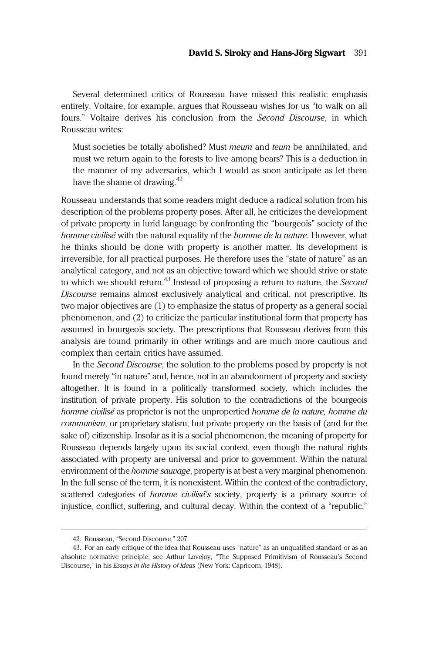Several determined critics of Rousseau have missed this realistic emphasis entirely. Voltaire, for example, argues that Rousseau wishes for us "to walk on all fours." Voltaire derives his conclusion from the *Second Discourse* in which Rousseau writes:

Must societies be totally abolished? Must meum and teum be annihilated, and must we return again to the forests to live among bears? This is a deduction in the manner of my adversaries, which I would as soon anticipate as let them have the shame of drawing.<sup>42</sup>

Rousseau understands that some readers might deduce a radical solution from his description of the problems property poses. After all, he criticizes the development of private property in lurid language by confronting the "bourgeois" society of the homme civilisé with the natural equality of the homme de la nature. However, what he thinks should be done with property is another matter. Its development is irreversible, for all practical purposes. He therefore uses the "state of nature" as an analytical category, and not as an objective toward which we should strive or state to which we should return.<sup>43</sup> Instead of proposing a return to nature, the Second Discourse remains almost exclusively analytical and critical, not prescriptive. Its two major objectives are (1) to emphasize the status of property as a general social phenomenon, and (2) to criticize the particular institutional form that property has assumed in bourgeois society. The prescriptions that Rousseau derives from this analysis are found primarily in other writings and are much more cautious and complex than certain critics have assumed.

In the Second Discourse, the solution to the problems posed by property is not found merely "in nature" and, hence, not in an abandonment of property and society altogether. It is found in a politically transformed society, which includes the institution of private property. His solution to the contradictions of the bourgeois homme civilisé as proprietor is not the unpropertied homme de la nature, homme du communism, or proprietary statism, but private property on the basis of (and for the sake of) citizenship. Insofar as it is a social phenomenon, the meaning of property for Rousseau depends largely upon its social context, even though the natural rights associated with property are universal and prior to government. Within the natural environment of the *homme sauvage*, property is at best a very marginal phenomenon. In the full sense of the term, it is nonexistent. Within the context of the contradictory, scattered categories of *homme civilisé's* society, property is a primary source of injustice, conflict, suffering, and cultural decay. Within the context of a "republic,"

<sup>42.</sup> Rousseau, "Second Discourse," 207.

<sup>43.</sup> For an early critique of the idea that Rousseau uses "nature" as an unqualified standard or as an absolute normative principle, see Arthur Lovejoy, "The Supposed Primitivism of Rousseau's Second Discourse," in his Essays in the History of Ideas (New York: Capricorn, 1948).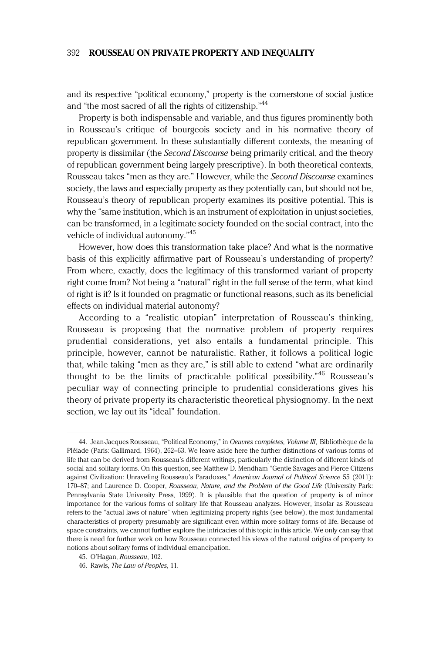and its respective "political economy," property is the cornerstone of social justice and "the most sacred of all the rights of citizenship."<sup>44</sup>

Property is both indispensable and variable, and thus figures prominently both in Rousseau's critique of bourgeois society and in his normative theory of republican government. In these substantially different contexts, the meaning of property is dissimilar (the Second Discourse being primarily critical, and the theory of republican government being largely prescriptive). In both theoretical contexts, Rousseau takes "men as they are." However, while the Second Discourse examines society, the laws and especially property as they potentially can, but should not be, Rousseau's theory of republican property examines its positive potential. This is why the "same institution, which is an instrument of exploitation in unjust societies, can be transformed, in a legitimate society founded on the social contract, into the vehicle of individual autonomy." 45

However, how does this transformation take place? And what is the normative basis of this explicitly affirmative part of Rousseau's understanding of property? From where, exactly, does the legitimacy of this transformed variant of property right come from? Not being a "natural" right in the full sense of the term, what kind of right is it? Is it founded on pragmatic or functional reasons, such as its beneficial effects on individual material autonomy?

According to a "realistic utopian" interpretation of Rousseau's thinking, Rousseau is proposing that the normative problem of property requires prudential considerations, yet also entails a fundamental principle. This principle, however, cannot be naturalistic. Rather, it follows a political logic that, while taking "men as they are," is still able to extend "what are ordinarily thought to be the limits of practicable political possibility." <sup>46</sup> Rousseau's peculiar way of connecting principle to prudential considerations gives his theory of private property its characteristic theoretical physiognomy. In the next section, we lay out its "ideal" foundation.

<sup>44.</sup> Jean-Jacques Rousseau, "Political Economy," in Oeuvres completes, Volume III, Bibliothèque de la Pléiade (Paris: Gallimard, 1964), 262–63. We leave aside here the further distinctions of various forms of life that can be derived from Rousseau's different writings, particularly the distinction of different kinds of social and solitary forms. On this question, see Matthew D. Mendham "Gentle Savages and Fierce Citizens against Civilization: Unraveling Rousseau's Paradoxes," American Journal of Political Science 55 (2011): 170–87; and Laurence D. Cooper, Rousseau, Nature, and the Problem of the Good Life (University Park: Pennsylvania State University Press, 1999). It is plausible that the question of property is of minor importance for the various forms of solitary life that Rousseau analyzes. However, insofar as Rousseau refers to the "actual laws of nature" when legitimizing property rights (see below), the most fundamental characteristics of property presumably are significant even within more solitary forms of life. Because of space constraints, we cannot further explore the intricacies of this topic in this article. We only can say that there is need for further work on how Rousseau connected his views of the natural origins of property to notions about solitary forms of individual emancipation.

<sup>45.</sup> O'Hagan, Rousseau, 102.

<sup>46.</sup> Rawls, The Law of Peoples, 11.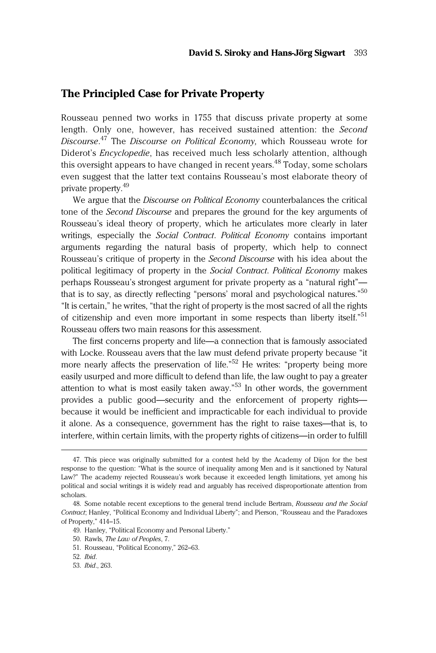## The Principled Case for Private Property

Rousseau penned two works in 1755 that discuss private property at some length. Only one, however, has received sustained attention: the Second Discourse.<sup>47</sup> The Discourse on Political Economy, which Rousseau wrote for Diderot's *Encyclopedie*, has received much less scholarly attention, although this oversight appears to have changed in recent years.<sup>48</sup> Today, some scholars even suggest that the latter text contains Rousseau's most elaborate theory of private property.<sup>49</sup>

We argue that the Discourse on Political Economy counterbalances the critical tone of the *Second Discourse* and prepares the ground for the key arguments of Rousseau's ideal theory of property, which he articulates more clearly in later writings, especially the Social Contract. Political Economy contains important arguments regarding the natural basis of property, which help to connect Rousseau's critique of property in the Second Discourse with his idea about the political legitimacy of property in the Social Contract. Political Economy makes perhaps Rousseau's strongest argument for private property as a "natural right" that is to say, as directly reflecting "persons' moral and psychological natures."<sup>50</sup> "It is certain," he writes, "that the right of property is the most sacred of all the rights of citizenship and even more important in some respects than liberty itself."<sup>51</sup> Rousseau offers two main reasons for this assessment.

The first concerns property and life—a connection that is famously associated with Locke. Rousseau avers that the law must defend private property because "it more nearly affects the preservation of life." <sup>52</sup> He writes: "property being more easily usurped and more difficult to defend than life, the law ought to pay a greater attention to what is most easily taken away." <sup>53</sup> In other words, the government provides a public good—security and the enforcement of property rights because it would be inefficient and impracticable for each individual to provide it alone. As a consequence, government has the right to raise taxes—that is, to interfere, within certain limits, with the property rights of citizens—in order to fulfill

53. Ibid., 263.

<sup>47.</sup> This piece was originally submitted for a contest held by the Academy of Dijon for the best response to the question: "What is the source of inequality among Men and is it sanctioned by Natural Law?" The academy rejected Rousseau's work because it exceeded length limitations, yet among his political and social writings it is widely read and arguably has received disproportionate attention from scholars.

<sup>48.</sup> Some notable recent exceptions to the general trend include Bertram, Rousseau and the Social Contract; Hanley, "Political Economy and Individual Liberty"; and Pierson, "Rousseau and the Paradoxes of Property," 414–15.

<sup>49.</sup> Hanley, "Political Economy and Personal Liberty."

<sup>50.</sup> Rawls, The Law of Peoples, 7.

<sup>51.</sup> Rousseau, "Political Economy," 262–63.

<sup>52.</sup> Ibid.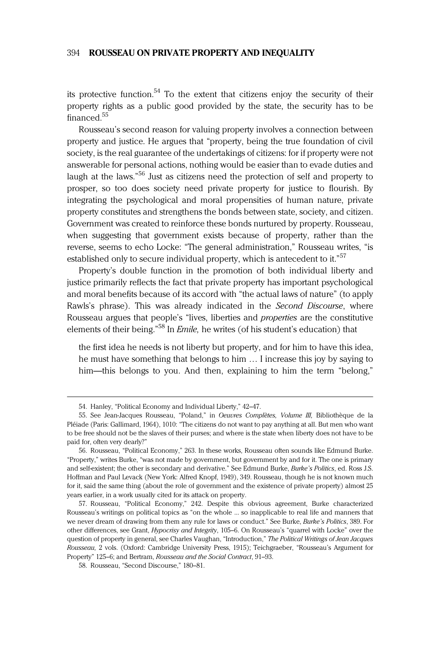its protective function.<sup>54</sup> To the extent that citizens enjoy the security of their property rights as a public good provided by the state, the security has to be financed<sup>55</sup>

Rousseau's second reason for valuing property involves a connection between property and justice. He argues that "property, being the true foundation of civil society, is the real guarantee of the undertakings of citizens: for if property were not answerable for personal actions, nothing would be easier than to evade duties and laugh at the laws." <sup>56</sup> Just as citizens need the protection of self and property to prosper, so too does society need private property for justice to flourish. By integrating the psychological and moral propensities of human nature, private property constitutes and strengthens the bonds between state, society, and citizen. Government was created to reinforce these bonds nurtured by property. Rousseau, when suggesting that government exists because of property, rather than the reverse, seems to echo Locke: "The general administration," Rousseau writes, "is established only to secure individual property, which is antecedent to it."<sup>57</sup>

Property's double function in the promotion of both individual liberty and justice primarily reflects the fact that private property has important psychological and moral benefits because of its accord with "the actual laws of nature" (to apply Rawls's phrase). This was already indicated in the *Second Discourse*, where Rousseau argues that people's "lives, liberties and properties are the constitutive elements of their being."<sup>58</sup> In *Emile*, he writes (of his student's education) that

the first idea he needs is not liberty but property, and for him to have this idea, he must have something that belongs to him … I increase this joy by saying to him—this belongs to you. And then, explaining to him the term "belong,"

<sup>54.</sup> Hanley, "Political Economy and Individual Liberty," 42–47.

<sup>55.</sup> See Jean-Jacques Rousseau, "Poland," in *Oeuvres Complètes, Volume III*, Bibliothèque de la Pléiade (Paris: Gallimard, 1964), 1010: "The citizens do not want to pay anything at all. But men who want to be free should not be the slaves of their purses; and where is the state when liberty does not have to be paid for, often very dearly?"

<sup>56.</sup> Rousseau, "Political Economy," 263. In these works, Rousseau often sounds like Edmund Burke. "Property," writes Burke, "was not made by government, but government by and for it. The one is primary and self-existent; the other is secondary and derivative." See Edmund Burke, Burke's Politics, ed. Ross J.S. Hoffman and Paul Levack (New York: Alfred Knopf, 1949), 349. Rousseau, though he is not known much for it, said the same thing (about the role of government and the existence of private property) almost 25 years earlier, in a work usually cited for its attack on property.

<sup>57.</sup> Rousseau, "Political Economy," 242. Despite this obvious agreement, Burke characterized Rousseau's writings on political topics as "on the whole ... so inapplicable to real life and manners that we never dream of drawing from them any rule for laws or conduct." See Burke, Burke's Politics, 389. For other differences, see Grant, Hypocrisy and Integrity, 105–6. On Rousseau's "quarrel with Locke" over the question of property in general, see Charles Vaughan, "Introduction," The Political Writings of Jean Jacques Rousseau, 2 vols. (Oxford: Cambridge University Press, 1915); Teichgraeber, "Rousseau's Argument for Property" 125–6; and Bertram, Rousseau and the Social Contract, 91–93.

<sup>58.</sup> Rousseau, "Second Discourse," 180–81.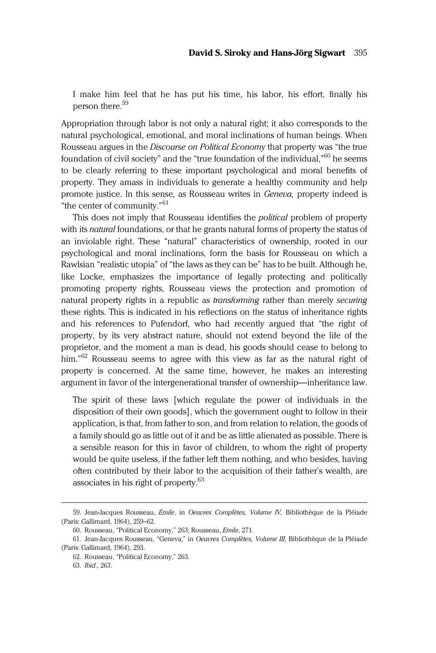I make him feel that he has put his time, his labor, his effort, finally his person there.<sup>59</sup>

Appropriation through labor is not only a natural right; it also corresponds to the natural psychological, emotional, and moral inclinations of human beings. When Rousseau argues in the *Discourse on Political Economy* that property was "the true foundation of civil society" and the "true foundation of the individual,"<sup>60</sup> he seems to be clearly referring to these important psychological and moral benefits of property. They amass in individuals to generate a healthy community and help promote justice. In this sense, as Rousseau writes in *Geneva*, property indeed is "the center of community." 61

This does not imply that Rousseau identifies the *political* problem of property with its *natural* foundations, or that he grants natural forms of property the status of an inviolable right. These "natural" characteristics of ownership, rooted in our psychological and moral inclinations, form the basis for Rousseau on which a Rawlsian "realistic utopia" of "the laws as they can be" has to be built. Although he, like Locke, emphasizes the importance of legally protecting and politically promoting property rights, Rousseau views the protection and promotion of natural property rights in a republic as *transforming* rather than merely securing these rights. This is indicated in his reflections on the status of inheritance rights and his references to Pufendorf, who had recently argued that "the right of property, by its very abstract nature, should not extend beyond the life of the proprietor, and the moment a man is dead, his goods should cease to belong to him."<sup>62</sup> Rousseau seems to agree with this view as far as the natural right of property is concerned. At the same time, however, he makes an interesting argument in favor of the intergenerational transfer of ownership—inheritance law.

The spirit of these laws [which regulate the power of individuals in the disposition of their own goods], which the government ought to follow in their application, is that, from father to son, and from relation to relation, the goods of a family should go as little out of it and be as little alienated as possible. There is a sensible reason for this in favor of children, to whom the right of property would be quite useless, if the father left them nothing, and who besides, having often contributed by their labor to the acquisition of their father's wealth, are associates in his right of property.<sup>63</sup>

<sup>59.</sup> Jean-Jacques Rousseau, Emile, in Oeuvres Complètes, Volume IV, Bibliothèque de la Pléiade (Paris: Gallimard, 1964), 259–62.

<sup>60.</sup> Rousseau, "Political Economy," 263; Rousseau, Emile, 271.

<sup>61.</sup> Jean-Jacques Rousseau, "Geneva," in Oeuvres Complètes, Volume III, Bibliothèque de la Pléiade (Paris: Gallimard, 1964), 293.

<sup>62.</sup> Rousseau, "Political Economy," 263.

<sup>63.</sup> Ibid., 263.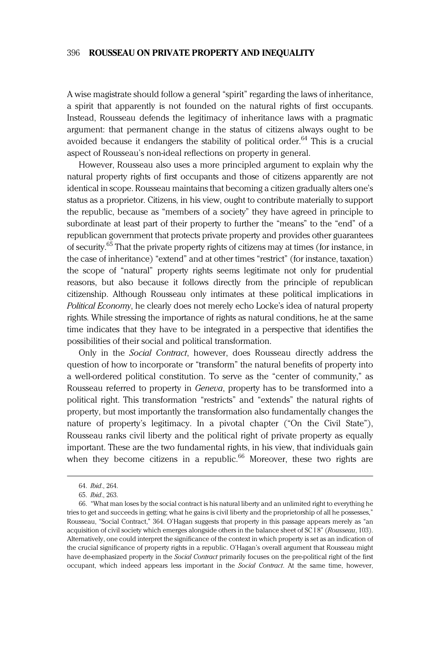A wise magistrate should follow a general "spirit" regarding the laws of inheritance, a spirit that apparently is not founded on the natural rights of first occupants. Instead, Rousseau defends the legitimacy of inheritance laws with a pragmatic argument: that permanent change in the status of citizens always ought to be avoided because it endangers the stability of political order.<sup>64</sup> This is a crucial aspect of Rousseau's non-ideal reflections on property in general.

However, Rousseau also uses a more principled argument to explain why the natural property rights of first occupants and those of citizens apparently are not identical in scope. Rousseau maintains that becoming a citizen gradually alters one's status as a proprietor. Citizens, in his view, ought to contribute materially to support the republic, because as "members of a society" they have agreed in principle to subordinate at least part of their property to further the "means" to the "end" of a republican government that protects private property and provides other guarantees of security.65 That the private property rights of citizens may at times (for instance, in the case of inheritance) "extend" and at other times "restrict" (for instance, taxation) the scope of "natural" property rights seems legitimate not only for prudential reasons, but also because it follows directly from the principle of republican citizenship. Although Rousseau only intimates at these political implications in Political Economy, he clearly does not merely echo Locke's idea of natural property rights. While stressing the importance of rights as natural conditions, he at the same time indicates that they have to be integrated in a perspective that identifies the possibilities of their social and political transformation.

Only in the Social Contract, however, does Rousseau directly address the question of how to incorporate or "transform" the natural benefits of property into a well-ordered political constitution. To serve as the "center of community," as Rousseau referred to property in Geneva, property has to be transformed into a political right. This transformation "restricts" and "extends" the natural rights of property, but most importantly the transformation also fundamentally changes the nature of property's legitimacy. In a pivotal chapter ("On the Civil State"), Rousseau ranks civil liberty and the political right of private property as equally important. These are the two fundamental rights, in his view, that individuals gain when they become citizens in a republic.<sup>66</sup> Moreover, these two rights are

<sup>64.</sup> Ibid., 264.

<sup>65.</sup> Ibid., 263.

<sup>66.</sup> "What man loses by the social contract is his natural liberty and an unlimited right to everything he tries to get and succeeds in getting; what he gains is civil liberty and the proprietorship of all he possesses," Rousseau, "Social Contract," 364. O'Hagan suggests that property in this passage appears merely as "an acquisition of civil society which emerges alongside others in the balance sheet of SC I 8" (Rousseau, 103). Alternatively, one could interpret the significance of the context in which property is set as an indication of the crucial significance of property rights in a republic. O'Hagan's overall argument that Rousseau might have de-emphasized property in the Social Contract primarily focuses on the pre-political right of the first occupant, which indeed appears less important in the Social Contract. At the same time, however,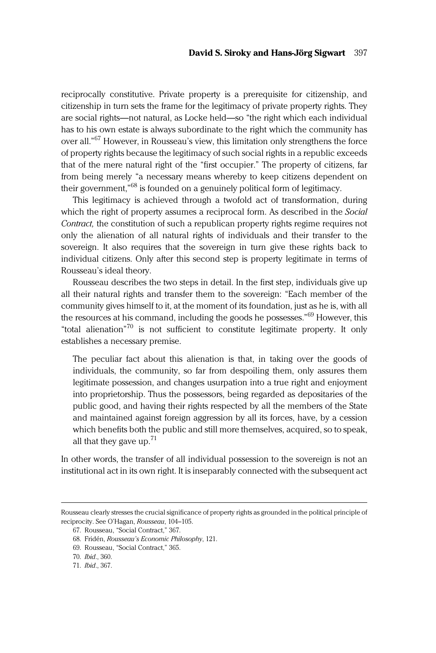reciprocally constitutive. Private property is a prerequisite for citizenship, and citizenship in turn sets the frame for the legitimacy of private property rights. They are social rights—not natural, as Locke held—so "the right which each individual has to his own estate is always subordinate to the right which the community has over all."<sup>67</sup> However, in Rousseau's view, this limitation only strengthens the force of property rights because the legitimacy of such social rights in a republic exceeds that of the mere natural right of the "first occupier." The property of citizens, far from being merely "a necessary means whereby to keep citizens dependent on their government," $^{68}$  is founded on a genuinely political form of legitimacy.

This legitimacy is achieved through a twofold act of transformation, during which the right of property assumes a reciprocal form. As described in the Social Contract, the constitution of such a republican property rights regime requires not only the alienation of all natural rights of individuals and their transfer to the sovereign. It also requires that the sovereign in turn give these rights back to individual citizens. Only after this second step is property legitimate in terms of Rousseau's ideal theory.

Rousseau describes the two steps in detail. In the first step, individuals give up all their natural rights and transfer them to the sovereign: "Each member of the community gives himself to it, at the moment of its foundation, just as he is, with all the resources at his command, including the goods he possesses."<sup>69</sup> However, this "total alienation" <sup>70</sup> is not sufficient to constitute legitimate property. It only establishes a necessary premise.

The peculiar fact about this alienation is that, in taking over the goods of individuals, the community, so far from despoiling them, only assures them legitimate possession, and changes usurpation into a true right and enjoyment into proprietorship. Thus the possessors, being regarded as depositaries of the public good, and having their rights respected by all the members of the State and maintained against foreign aggression by all its forces, have, by a cession which benefits both the public and still more themselves, acquired, so to speak, all that they gave up. $71$ 

In other words, the transfer of all individual possession to the sovereign is not an institutional act in its own right. It is inseparably connected with the subsequent act

Rousseau clearly stresses the crucial significance of property rights as grounded in the political principle of reciprocity. See O'Hagan, Rousseau, 104–105.

<sup>67.</sup> Rousseau, "Social Contract," 367.

<sup>68.</sup> Fridén, Rousseau's Economic Philosophy, 121.

<sup>69.</sup> Rousseau, "Social Contract," 365.

<sup>70.</sup> Ibid., 360.

<sup>71.</sup> Ibid., 367.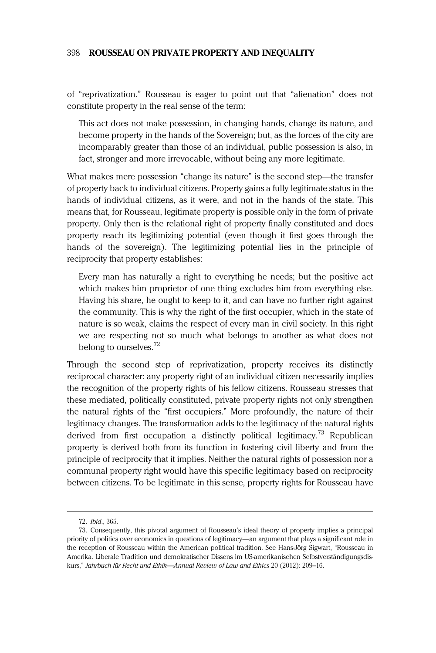of "reprivatization." Rousseau is eager to point out that "alienation" does not constitute property in the real sense of the term:

This act does not make possession, in changing hands, change its nature, and become property in the hands of the Sovereign; but, as the forces of the city are incomparably greater than those of an individual, public possession is also, in fact, stronger and more irrevocable, without being any more legitimate.

What makes mere possession "change its nature" is the second step—the transfer of property back to individual citizens. Property gains a fully legitimate status in the hands of individual citizens, as it were, and not in the hands of the state. This means that, for Rousseau, legitimate property is possible only in the form of private property. Only then is the relational right of property finally constituted and does property reach its legitimizing potential (even though it first goes through the hands of the sovereign). The legitimizing potential lies in the principle of reciprocity that property establishes:

Every man has naturally a right to everything he needs; but the positive act which makes him proprietor of one thing excludes him from everything else. Having his share, he ought to keep to it, and can have no further right against the community. This is why the right of the first occupier, which in the state of nature is so weak, claims the respect of every man in civil society. In this right we are respecting not so much what belongs to another as what does not belong to ourselves.<sup>72</sup>

Through the second step of reprivatization, property receives its distinctly reciprocal character: any property right of an individual citizen necessarily implies the recognition of the property rights of his fellow citizens. Rousseau stresses that these mediated, politically constituted, private property rights not only strengthen the natural rights of the "first occupiers." More profoundly, the nature of their legitimacy changes. The transformation adds to the legitimacy of the natural rights derived from first occupation a distinctly political legitimacy.<sup>73</sup> Republican property is derived both from its function in fostering civil liberty and from the principle of reciprocity that it implies. Neither the natural rights of possession nor a communal property right would have this specific legitimacy based on reciprocity between citizens. To be legitimate in this sense, property rights for Rousseau have

<sup>72.</sup> Ibid., 365.

<sup>73.</sup> Consequently, this pivotal argument of Rousseau's ideal theory of property implies a principal priority of politics over economics in questions of legitimacy—an argument that plays a significant role in the reception of Rousseau within the American political tradition. See Hans-Jörg Sigwart, "Rousseau in Amerika. Liberale Tradition und demokratischer Dissens im US-amerikanischen Selbstverständigungsdiskurs," Jahrbuch für Recht und Ethik—Annual Review of Law and Ethics 20 (2012): 209–16.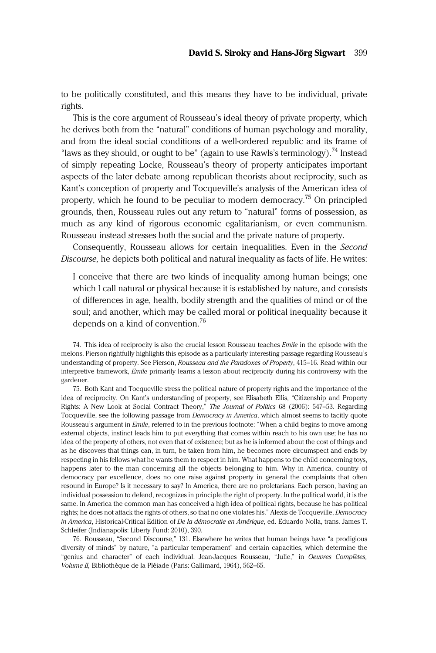to be politically constituted, and this means they have to be individual, private rights.

This is the core argument of Rousseau's ideal theory of private property, which he derives both from the "natural" conditions of human psychology and morality, and from the ideal social conditions of a well-ordered republic and its frame of "laws as they should, or ought to be" (again to use Rawls's terminology).<sup>74</sup> Instead of simply repeating Locke, Rousseau's theory of property anticipates important aspects of the later debate among republican theorists about reciprocity, such as Kant's conception of property and Tocqueville's analysis of the American idea of property, which he found to be peculiar to modern democracy.<sup>75</sup> On principled grounds, then, Rousseau rules out any return to "natural" forms of possession, as much as any kind of rigorous economic egalitarianism, or even communism. Rousseau instead stresses both the social and the private nature of property.

Consequently, Rousseau allows for certain inequalities. Even in the Second Discourse, he depicts both political and natural inequality as facts of life. He writes:

I conceive that there are two kinds of inequality among human beings; one which I call natural or physical because it is established by nature, and consists of differences in age, health, bodily strength and the qualities of mind or of the soul; and another, which may be called moral or political inequality because it depends on a kind of convention.<sup>76</sup>

<sup>74.</sup> This idea of reciprocity is also the crucial lesson Rousseau teaches Emile in the episode with the melons. Pierson rightfully highlights this episode as a particularly interesting passage regarding Rousseau's understanding of property. See Pierson, Rousseau and the Paradoxes of Property, 415-16. Read within our interpretive framework, Emile primarily learns a lesson about reciprocity during his controversy with the gardener.

<sup>75.</sup> Both Kant and Tocqueville stress the political nature of property rights and the importance of the idea of reciprocity. On Kant's understanding of property, see Elisabeth Ellis, "Citizenship and Property Rights: A New Look at Social Contract Theory," The Journal of Politics 68 (2006): 547-53. Regarding Tocqueville, see the following passage from *Democracy in America*, which almost seems to tacitly quote Rousseau's argument in *Emile*, referred to in the previous footnote: "When a child begins to move among external objects, instinct leads him to put everything that comes within reach to his own use; he has no idea of the property of others, not even that of existence; but as he is informed about the cost of things and as he discovers that things can, in turn, be taken from him, he becomes more circumspect and ends by respecting in his fellows what he wants them to respect in him. What happens to the child concerning toys, happens later to the man concerning all the objects belonging to him. Why in America, country of democracy par excellence, does no one raise against property in general the complaints that often resound in Europe? Is it necessary to say? In America, there are no proletarians. Each person, having an individual possession to defend, recognizes in principle the right of property. In the political world, it is the same. In America the common man has conceived a high idea of political rights, because he has political rights; he does not attack the rights of others, so that no one violates his." Alexis de Tocqueville, Democracy in America, Historical-Critical Edition of De la démocratie en Amérique, ed. Eduardo Nolla, trans. James T. Schleifer (Indianapolis: Liberty Fund: 2010), 390.

<sup>76.</sup> Rousseau, "Second Discourse," 131. Elsewhere he writes that human beings have "a prodigious diversity of minds" by nature, "a particular temperament" and certain capacities, which determine the "genius and character" of each individual. Jean-Jacques Rousseau, "Julie," in Oeuvres Complètes, Volume II, Bibliothèque de la Pléiade (Paris: Gallimard, 1964), 562–65.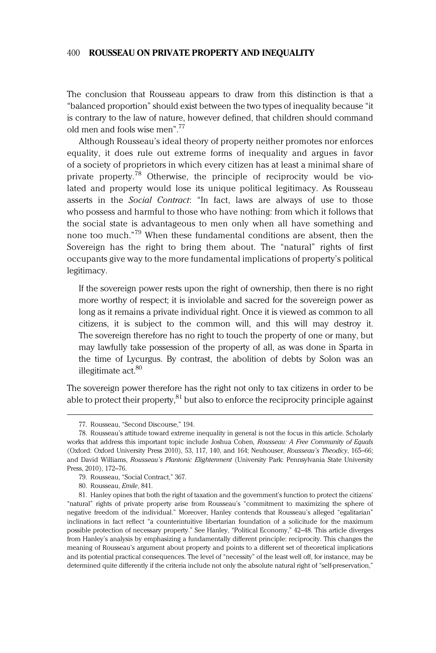The conclusion that Rousseau appears to draw from this distinction is that a "balanced proportion" should exist between the two types of inequality because "it is contrary to the law of nature, however defined, that children should command old men and fools wise men".<sup>77</sup>

Although Rousseau's ideal theory of property neither promotes nor enforces equality, it does rule out extreme forms of inequality and argues in favor of a society of proprietors in which every citizen has at least a minimal share of private property.<sup>78</sup> Otherwise, the principle of reciprocity would be violated and property would lose its unique political legitimacy. As Rousseau asserts in the Social Contract: "In fact, laws are always of use to those who possess and harmful to those who have nothing: from which it follows that the social state is advantageous to men only when all have something and none too much." <sup>79</sup> When these fundamental conditions are absent, then the Sovereign has the right to bring them about. The "natural" rights of first occupants give way to the more fundamental implications of property's political legitimacy.

If the sovereign power rests upon the right of ownership, then there is no right more worthy of respect; it is inviolable and sacred for the sovereign power as long as it remains a private individual right. Once it is viewed as common to all citizens, it is subject to the common will, and this will may destroy it. The sovereign therefore has no right to touch the property of one or many, but may lawfully take possession of the property of all, as was done in Sparta in the time of Lycurgus. By contrast, the abolition of debts by Solon was an illegitimate act.80

The sovereign power therefore has the right not only to tax citizens in order to be able to protect their property,  $81$  but also to enforce the reciprocity principle against

<sup>77.</sup> Rousseau, "Second Discourse," 194.

<sup>78.</sup> Rousseau's attitude toward extreme inequality in general is not the focus in this article. Scholarly works that address this important topic include Joshua Cohen, Rousseau: A Free Community of Equals (Oxford: Oxford University Press 2010), 53, 117, 140, and 164; Neuhouser, Rousseau's Theodicy, 165–66; and David Williams, Rousseau's Plantonic Elightenment (University Park: Pennsylvania State University Press, 2010), 172–76.

<sup>79.</sup> Rousseau, "Social Contract," 367.

<sup>80.</sup> Rousseau, Emile, 841.

<sup>81.</sup> Hanley opines that both the right of taxation and the government's function to protect the citizens' "natural" rights of private property arise from Rousseau's "commitment to maximizing the sphere of negative freedom of the individual." Moreover, Hanley contends that Rousseau's alleged "egalitarian" inclinations in fact reflect "a counterintuitive libertarian foundation of a solicitude for the maximum possible protection of necessary property." See Hanley, "Political Economy," 42–48. This article diverges from Hanley's analysis by emphasizing a fundamentally different principle: reciprocity. This changes the meaning of Rousseau's argument about property and points to a different set of theoretical implications and its potential practical consequences. The level of "necessity" of the least well off, for instance, may be determined quite differently if the criteria include not only the absolute natural right of "self-preservation,"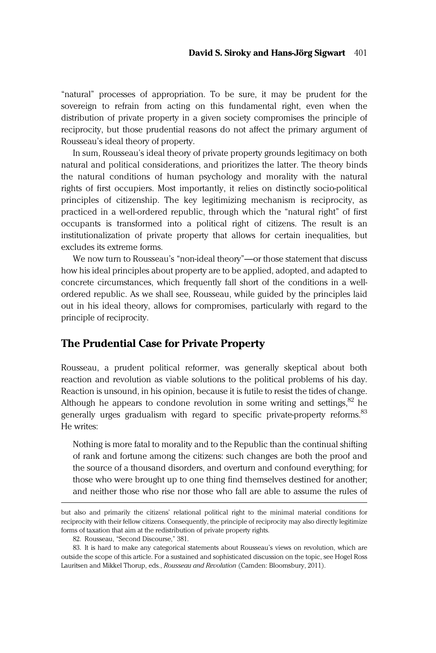"natural" processes of appropriation. To be sure, it may be prudent for the sovereign to refrain from acting on this fundamental right, even when the distribution of private property in a given society compromises the principle of reciprocity, but those prudential reasons do not affect the primary argument of Rousseau's ideal theory of property.

In sum, Rousseau's ideal theory of private property grounds legitimacy on both natural and political considerations, and prioritizes the latter. The theory binds the natural conditions of human psychology and morality with the natural rights of first occupiers. Most importantly, it relies on distinctly socio-political principles of citizenship. The key legitimizing mechanism is reciprocity, as practiced in a well-ordered republic, through which the "natural right" of first occupants is transformed into a political right of citizens. The result is an institutionalization of private property that allows for certain inequalities, but excludes its extreme forms.

We now turn to Rousseau's "non-ideal theory"—or those statement that discuss how his ideal principles about property are to be applied, adopted, and adapted to concrete circumstances, which frequently fall short of the conditions in a wellordered republic. As we shall see, Rousseau, while guided by the principles laid out in his ideal theory, allows for compromises, particularly with regard to the principle of reciprocity.

### The Prudential Case for Private Property

Rousseau, a prudent political reformer, was generally skeptical about both reaction and revolution as viable solutions to the political problems of his day. Reaction is unsound, in his opinion, because it is futile to resist the tides of change. Although he appears to condone revolution in some writing and settings.  $82$  he generally urges gradualism with regard to specific private-property reforms.<sup>83</sup> He writes:

Nothing is more fatal to morality and to the Republic than the continual shifting of rank and fortune among the citizens: such changes are both the proof and the source of a thousand disorders, and overturn and confound everything; for those who were brought up to one thing find themselves destined for another; and neither those who rise nor those who fall are able to assume the rules of

but also and primarily the citizens' relational political right to the minimal material conditions for reciprocity with their fellow citizens. Consequently, the principle of reciprocity may also directly legitimize forms of taxation that aim at the redistribution of private property rights.

<sup>82.</sup> Rousseau, "Second Discourse," 381.

<sup>83.</sup> It is hard to make any categorical statements about Rousseau's views on revolution, which are outside the scope of this article. For a sustained and sophisticated discussion on the topic, see Hogel Ross Lauritsen and Mikkel Thorup, eds., Rousseau and Revolution (Camden: Bloomsbury, 2011).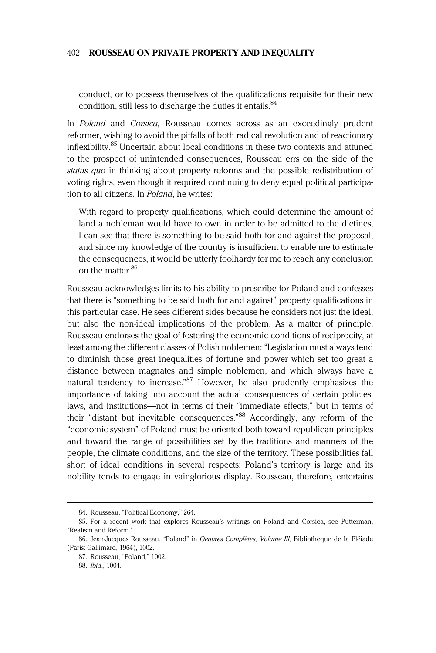conduct, or to possess themselves of the qualifications requisite for their new condition, still less to discharge the duties it entails.<sup>84</sup>

In *Poland* and *Corsica*, Rousseau comes across as an exceedingly prudent reformer, wishing to avoid the pitfalls of both radical revolution and of reactionary inflexibility.<sup>85</sup> Uncertain about local conditions in these two contexts and attuned to the prospect of unintended consequences, Rousseau errs on the side of the status quo in thinking about property reforms and the possible redistribution of voting rights, even though it required continuing to deny equal political participation to all citizens. In *Poland*, he writes:

With regard to property qualifications, which could determine the amount of land a nobleman would have to own in order to be admitted to the dietines, I can see that there is something to be said both for and against the proposal, and since my knowledge of the country is insufficient to enable me to estimate the consequences, it would be utterly foolhardy for me to reach any conclusion on the matter.<sup>86</sup>

Rousseau acknowledges limits to his ability to prescribe for Poland and confesses that there is "something to be said both for and against" property qualifications in this particular case. He sees different sides because he considers not just the ideal, but also the non-ideal implications of the problem. As a matter of principle, Rousseau endorses the goal of fostering the economic conditions of reciprocity, at least among the different classes of Polish noblemen: "Legislation must always tend to diminish those great inequalities of fortune and power which set too great a distance between magnates and simple noblemen, and which always have a natural tendency to increase."<sup>87</sup> However, he also prudently emphasizes the importance of taking into account the actual consequences of certain policies, laws, and institutions—not in terms of their "immediate effects," but in terms of their "distant but inevitable consequences."<sup>88</sup> Accordingly, any reform of the "economic system" of Poland must be oriented both toward republican principles and toward the range of possibilities set by the traditions and manners of the people, the climate conditions, and the size of the territory. These possibilities fall short of ideal conditions in several respects: Poland's territory is large and its nobility tends to engage in vainglorious display. Rousseau, therefore, entertains

<sup>84.</sup> Rousseau, "Political Economy," 264.

<sup>85.</sup> For a recent work that explores Rousseau's writings on Poland and Corsica, see Putterman, "Realism and Reform."

<sup>86.</sup> Jean-Jacques Rousseau, "Poland" in Oeuvres Complètes, Volume III, Bibliothèque de la Pléiade (Paris: Gallimard, 1964), 1002.

<sup>87.</sup> Rousseau, "Poland," 1002.

<sup>88.</sup> Ibid., 1004.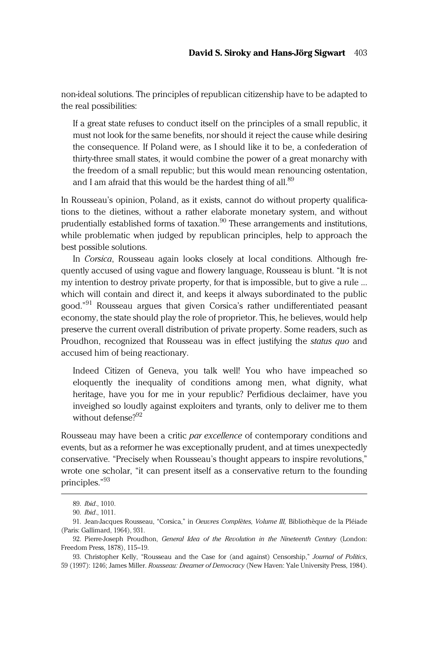non-ideal solutions. The principles of republican citizenship have to be adapted to the real possibilities:

If a great state refuses to conduct itself on the principles of a small republic, it must not look for the same benefits, nor should it reject the cause while desiring the consequence. If Poland were, as I should like it to be, a confederation of thirty-three small states, it would combine the power of a great monarchy with the freedom of a small republic; but this would mean renouncing ostentation, and I am afraid that this would be the hardest thing of all.<sup>89</sup>

In Rousseau's opinion, Poland, as it exists, cannot do without property qualifications to the dietines, without a rather elaborate monetary system, and without prudentially established forms of taxation.<sup>90</sup> These arrangements and institutions, while problematic when judged by republican principles, help to approach the best possible solutions.

In Corsica, Rousseau again looks closely at local conditions. Although frequently accused of using vague and flowery language, Rousseau is blunt. "It is not my intention to destroy private property, for that is impossible, but to give a rule ... which will contain and direct it, and keeps it always subordinated to the public good."<sup>91</sup> Rousseau argues that given Corsica's rather undifferentiated peasant economy, the state should play the role of proprietor. This, he believes, would help preserve the current overall distribution of private property. Some readers, such as Proudhon, recognized that Rousseau was in effect justifying the *status quo* and accused him of being reactionary.

Indeed Citizen of Geneva, you talk well! You who have impeached so eloquently the inequality of conditions among men, what dignity, what heritage, have you for me in your republic? Perfidious declaimer, have you inveighed so loudly against exploiters and tyrants, only to deliver me to them without defense?<sup>92</sup>

Rousseau may have been a critic par excellence of contemporary conditions and events, but as a reformer he was exceptionally prudent, and at times unexpectedly conservative. "Precisely when Rousseau's thought appears to inspire revolutions," wrote one scholar, "it can present itself as a conservative return to the founding principles." 93

<sup>89.</sup> Ibid., 1010.

<sup>90.</sup> Ibid., 1011.

<sup>91.</sup> Jean-Jacques Rousseau, "Corsica," in Oeuvres Complètes, Volume III, Bibliothèque de la Pléiade (Paris: Gallimard, 1964), 931.

<sup>92.</sup> Pierre-Joseph Proudhon, General Idea of the Revolution in the Nineteenth Century (London: Freedom Press, 1878), 115–19.

<sup>93.</sup> Christopher Kelly, "Rousseau and the Case for (and against) Censorship," Journal of Politics, 59 (1997): 1246; James Miller. Rousseau: Dreamer of Democracy (New Haven: Yale University Press, 1984).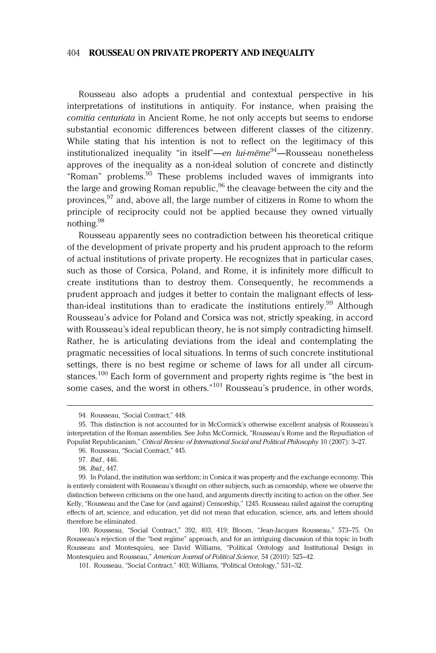Rousseau also adopts a prudential and contextual perspective in his interpretations of institutions in antiquity. For instance, when praising the comitia centuriata in Ancient Rome, he not only accepts but seems to endorse substantial economic differences between different classes of the citizenry. While stating that his intention is not to reflect on the legitimacy of this institutionalized inequality "in itself"—en lui-même<sup>94</sup>—Rousseau nonetheless approves of the inequality as a non-ideal solution of concrete and distinctly "Roman" problems. $95$  These problems included waves of immigrants into the large and growing Roman republic,  $96$  the cleavage between the city and the provinces,<sup>97</sup> and, above all, the large number of citizens in Rome to whom the principle of reciprocity could not be applied because they owned virtually nothing.<sup>98</sup>

Rousseau apparently sees no contradiction between his theoretical critique of the development of private property and his prudent approach to the reform of actual institutions of private property. He recognizes that in particular cases, such as those of Corsica, Poland, and Rome, it is infinitely more difficult to create institutions than to destroy them. Consequently, he recommends a prudent approach and judges it better to contain the malignant effects of lessthan-ideal institutions than to eradicate the institutions entirely.<sup>99</sup> Although Rousseau's advice for Poland and Corsica was not, strictly speaking, in accord with Rousseau's ideal republican theory, he is not simply contradicting himself. Rather, he is articulating deviations from the ideal and contemplating the pragmatic necessities of local situations. In terms of such concrete institutional settings, there is no best regime or scheme of laws for all under all circumstances.<sup>100</sup> Each form of government and property rights regime is "the best in some cases, and the worst in others."<sup>101</sup> Rousseau's prudence, in other words,

<sup>94.</sup> Rousseau, "Social Contract," 448.

<sup>95.</sup> This distinction is not accounted for in McCormick's otherwise excellent analysis of Rousseau's interpretation of the Roman assemblies. See John McCormick, "Rousseau's Rome and the Repudiation of Populist Republicanism," Critical Review of International Social and Political Philosophy 10 (2007): 3–27.

<sup>96.</sup> Rousseau, "Social Contract," 445.

<sup>97.</sup> Ibid., 446.

<sup>98.</sup> Ibid., 447.

<sup>99.</sup> In Poland, the institution was serfdom; in Corsica it was property and the exchange economy. This is entirely consistent with Rousseau's thought on other subjects, such as censorship, where we observe the distinction between criticisms on the one hand, and arguments directly inciting to action on the other. See Kelly, "Rousseau and the Case for (and against) Censorship," 1245. Rousseau railed against the corrupting effects of art, science, and education, yet did not mean that education, science, arts, and letters should therefore be eliminated.

<sup>100.</sup> Rousseau, "Social Contract," 392, 403, 419; Bloom, "Jean-Jacques Rousseau," 573–75. On Rousseau's rejection of the "best regime" approach, and for an intriguing discussion of this topic in both Rousseau and Montesquieu, see David Williams, "Political Ontology and Institutional Design in Montesquieu and Rousseau," American Journal of Political Science, 54 (2010): 525–42.

<sup>101.</sup> Rousseau, "Social Contract," 403; Williams, "Political Ontology," 531–32.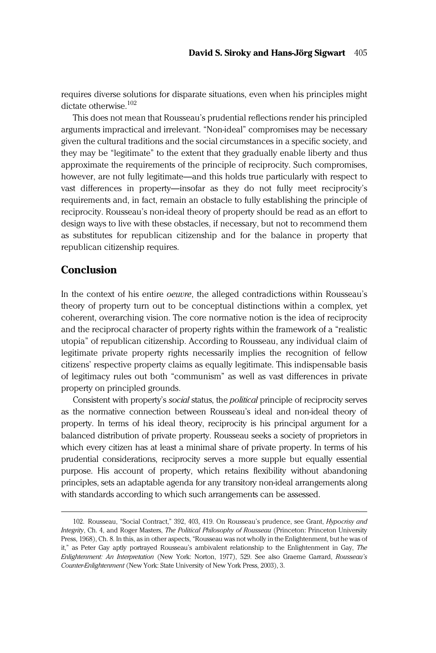requires diverse solutions for disparate situations, even when his principles might dictate otherwise.<sup>102</sup>

This does not mean that Rousseau's prudential reflections render his principled arguments impractical and irrelevant. "Non-ideal" compromises may be necessary given the cultural traditions and the social circumstances in a specific society, and they may be "legitimate" to the extent that they gradually enable liberty and thus approximate the requirements of the principle of reciprocity. Such compromises, however, are not fully legitimate—and this holds true particularly with respect to vast differences in property—insofar as they do not fully meet reciprocity's requirements and, in fact, remain an obstacle to fully establishing the principle of reciprocity. Rousseau's non-ideal theory of property should be read as an effort to design ways to live with these obstacles, if necessary, but not to recommend them as substitutes for republican citizenship and for the balance in property that republican citizenship requires.

# Conclusion

In the context of his entire *oeuvre*, the alleged contradictions within Rousseau's theory of property turn out to be conceptual distinctions within a complex, yet coherent, overarching vision. The core normative notion is the idea of reciprocity and the reciprocal character of property rights within the framework of a "realistic utopia" of republican citizenship. According to Rousseau, any individual claim of legitimate private property rights necessarily implies the recognition of fellow citizens' respective property claims as equally legitimate. This indispensable basis of legitimacy rules out both "communism" as well as vast differences in private property on principled grounds.

Consistent with property's social status, the political principle of reciprocity serves as the normative connection between Rousseau's ideal and non-ideal theory of property. In terms of his ideal theory, reciprocity is his principal argument for a balanced distribution of private property. Rousseau seeks a society of proprietors in which every citizen has at least a minimal share of private property. In terms of his prudential considerations, reciprocity serves a more supple but equally essential purpose. His account of property, which retains flexibility without abandoning principles, sets an adaptable agenda for any transitory non-ideal arrangements along with standards according to which such arrangements can be assessed.

<sup>102.</sup> Rousseau, "Social Contract," 392, 403, 419. On Rousseau's prudence, see Grant, Hypocrisy and Integrity, Ch. 4, and Roger Masters, The Political Philosophy of Rousseau (Princeton: Princeton University Press, 1968), Ch. 8. In this, as in other aspects, "Rousseau was not wholly in the Enlightenment, but he was of it," as Peter Gay aptly portrayed Rousseau's ambivalent relationship to the Enlightenment in Gay, The Enlightenment: An Interpretation (New York: Norton, 1977), 529. See also Graeme Garrard, Rousseau's Counter-Enlightenment (New York: State University of New York Press, 2003), 3.